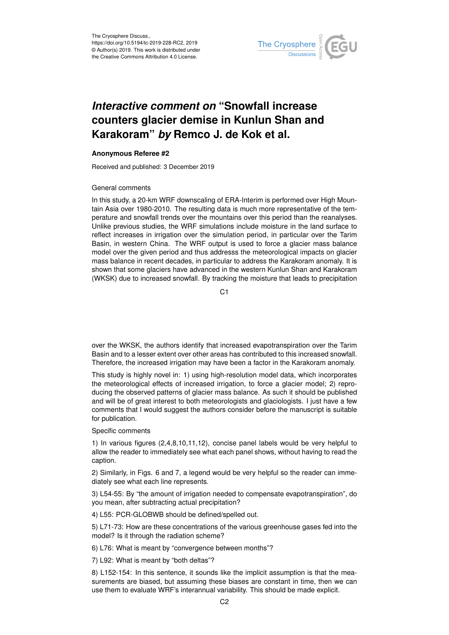

## *Interactive comment on* **"Snowfall increase counters glacier demise in Kunlun Shan and Karakoram"** *by* **Remco J. de Kok et al.**

## **Anonymous Referee #2**

Received and published: 3 December 2019

## General comments

In this study, a 20-km WRF downscaling of ERA-Interim is performed over High Mountain Asia over 1980-2010. The resulting data is much more representative of the temperature and snowfall trends over the mountains over this period than the reanalyses. Unlike previous studies, the WRF simulations include moisture in the land surface to reflect increases in irrigation over the simulation period, in particular over the Tarim Basin, in western China. The WRF output is used to force a glacier mass balance model over the given period and thus addresss the meteorological impacts on glacier mass balance in recent decades, in particular to address the Karakoram anomaly. It is shown that some glaciers have advanced in the western Kunlun Shan and Karakoram (WKSK) due to increased snowfall. By tracking the moisture that leads to precipitation

C1

over the WKSK, the authors identify that increased evapotranspiration over the Tarim Basin and to a lesser extent over other areas has contributed to this increased snowfall. Therefore, the increased irrigation may have been a factor in the Karakoram anomaly.

This study is highly novel in: 1) using high-resolution model data, which incorporates the meteorological effects of increased irrigation, to force a glacier model; 2) reproducing the observed patterns of glacier mass balance. As such it should be published and will be of great interest to both meteorologists and glaciologists. I just have a few comments that I would suggest the authors consider before the manuscript is suitable for publication.

## Specific comments

1) In various figures (2,4,8,10,11,12), concise panel labels would be very helpful to allow the reader to immediately see what each panel shows, without having to read the caption.

2) Similarly, in Figs. 6 and 7, a legend would be very helpful so the reader can immediately see what each line represents.

3) L54-55: By "the amount of irrigation needed to compensate evapotranspiration", do you mean, after subtracting actual precipitation?

4) L55: PCR-GLOBWB should be defined/spelled out.

5) L71-73: How are these concentrations of the various greenhouse gases fed into the model? Is it through the radiation scheme?

6) L76: What is meant by "convergence between months"?

7) L92: What is meant by "both deltas"?

8) L152-154: In this sentence, it sounds like the implicit assumption is that the measurements are biased, but assuming these biases are constant in time, then we can use them to evaluate WRF's interannual variability. This should be made explicit.